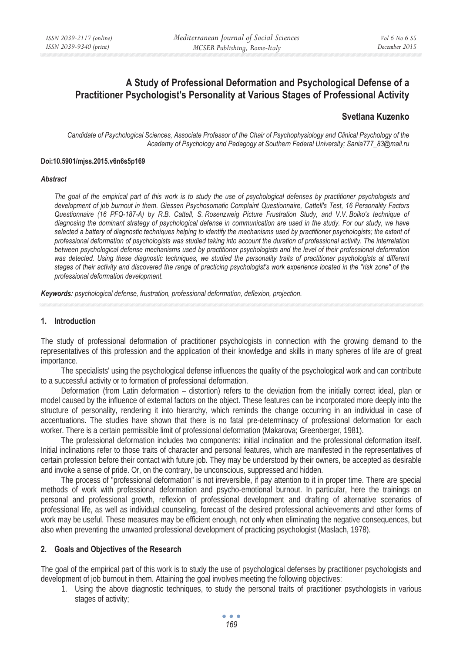# **A Study of Professional Deformation and Psychological Defense of a Practitioner Psychologist's Personality at Various Stages of Professional Activity**

# **Svetlana Kuzenko**

*ɋandidate of Psychological Sciences, Associate Professor of the Chair of Psychophysiology and Clinical Psychology of the Academy of Psychology and Pedagogy at Southern Federal University; Sania777\_83@mail.ru* 

#### **Doi:10.5901/mjss.2015.v6n6s5p169**

#### *Abstract*

*The goal of the empirical part of this work is to study the use of psychological defenses by practitioner psychologists and development of job burnout in them. Giessen Psychosomatic Complaint Questionnaire, Cattell's Test, 16 Personality Factors Questionnaire (16 PFQ-187-A) by R.B. Cattell, S. Rosenzweig Picture Frustration Study, and V.V. Boiko's technique of diagnosing the dominant strategy of psychological defense in communication are used in the study. For our study, we have selected a battery of diagnostic techniques helping to identify the mechanisms used by practitioner psychologists; the extent of professional deformation of psychologists was studied taking into account the duration of professional activity. The interrelation between psychological defense mechanisms used by practitioner psychologists and the level of their professional deformation was detected. Using these diagnostic techniques, we studied the personality traits of practitioner psychologists at different stages of their activity and discovered the range of practicing psychologist's work experience located in the "risk zone" of the professional deformation development.* 

*Keywords: psychological defense, frustration, professional deformation, deflexion, projection.*

#### **1. Introduction**

The study of professional deformation of practitioner psychologists in connection with the growing demand to the representatives of this profession and the application of their knowledge and skills in many spheres of life are of great importance.

The specialists' using the psychological defense influences the quality of the psychological work and can contribute to a successful activity or to formation of professional deformation.

Deformation (from Latin deformation – distortion) refers to the deviation from the initially correct ideal, plan or model caused by the influence of external factors on the object. These features can be incorporated more deeply into the structure of personality, rendering it into hierarchy, which reminds the change occurring in an individual in case of accentuations. The studies have shown that there is no fatal pre-determinacy of professional deformation for each worker. There is a certain permissible limit of professional deformation (Makarova; Greenberger, 1981).

The professional deformation includes two components: initial inclination and the professional deformation itself. Initial inclinations refer to those traits of character and personal features, which are manifested in the representatives of certain profession before their contact with future job. They may be understood by their owners, be accepted as desirable and invoke a sense of pride. Or, on the contrary, be unconscious, suppressed and hidden.

The process of "professional deformation" is not irreversible, if pay attention to it in proper time. There are special methods of work with professional deformation and psycho-emotional burnout. In particular, here the trainings on personal and professional growth, reflexion of professional development and drafting of alternative scenarios of professional life, as well as individual counseling, forecast of the desired professional achievements and other forms of work may be useful. These measures may be efficient enough, not only when eliminating the negative consequences, but also when preventing the unwanted professional development of practicing psychologist (Maslach, 1978).

### **2. Goals and Objectives of the Research**

The goal of the empirical part of this work is to study the use of psychological defenses by practitioner psychologists and development of job burnout in them. Attaining the goal involves meeting the following objectives:

1. Using the above diagnostic techniques, to study the personal traits of practitioner psychologists in various stages of activity;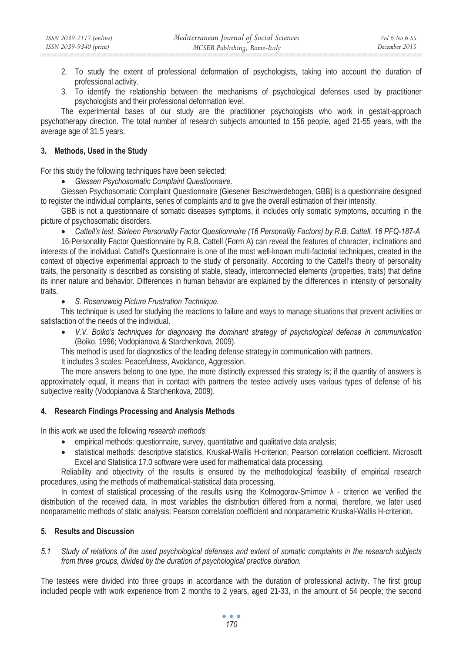- 2. To study the extent of professional deformation of psychologists, taking into account the duration of professional activity.
- 3. To identify the relationship between the mechanisms of psychological defenses used by practitioner psychologists and their professional deformation level.

The experimental bases of our study are the practitioner psychologists who work in gestalt-approach psychotherapy direction. The total number of research subjects amounted to 156 people, aged 21-55 years, with the average age of 31.5 years.

### **3. Methods, Used in the Study**

For this study the following techniques have been selected:

• *Giessen Psychosomatic Complaint Questionnaire.* 

Giessen Psychosomatic Complaint Questionnaire (Giesener Beschwerdebogen, GBB) is a questionnaire designed to register the individual complaints, series of complaints and to give the overall estimation of their intensity.

GBB is not a questionnaire of somatic diseases symptoms, it includes only somatic symptoms, occurring in the picture of psychosomatic disorders.

• *Cattell's test. Sixteen Personality Factor Questionnaire (16 Personality Factors) by R.B. Cattell. 16 PFQ-187-Ⱥ*

16-Personality Factor Questionnaire by R.B. Cattell (Form A) can reveal the features of character, inclinations and interests of the individual. Cattell's Questionnaire is one of the most well-known multi-factorial techniques, created in the context of objective experimental approach to the study of personality. According to the Cattell's theory of personality traits, the personality is described as consisting of stable, steady, interconnected elements (properties, traits) that define its inner nature and behavior. Differences in human behavior are explained by the differences in intensity of personality traits.

• *S. Rosenzweig Picture Frustration Technique.* 

This technique is used for studying the reactions to failure and ways to manage situations that prevent activities or satisfaction of the needs of the individual.

• *V.V. Boiko's techniques for diagnosing the dominant strategy of psychological defense in communication* (Boiko, 1996; Vodopianova & Starchenkova, 2009).

This method is used for diagnostics of the leading defense strategy in communication with partners.

It includes 3 scales: Peacefulness, Avoidance, Aggression.

The more answers belong to one type, the more distinctly expressed this strategy is; if the quantity of answers is approximately equal, it means that in contact with partners the testee actively uses various types of defense of his subjective reality (Vodopianova & Starchenkova, 2009).

# **4. Research Findings Processing and Analysis Methods**

In this work we used the following *research methods*:

- empirical methods: questionnaire, survey, quantitative and qualitative data analysis;
- statistical methods: descriptive statistics, Kruskal-Wallis H-criterion, Pearson correlation coefficient. Microsoft Excel and Statistica 17.0 software were used for mathematical data processing.

Reliability and objectivity of the results is ensured by the methodological feasibility of empirical research procedures, using the methods of mathematical-statistical data processing.

In context of statistical processing of the results using the Kolmogorov-Smirnov  $\lambda$  - criterion we verified the distribution of the received data. In most variables the distribution differed from a normal, therefore, we later used nonparametric methods of static analysis: Pearson correlation coefficient and nonparametric Kruskal-Wallis H-criterion.

# **5. Results and Discussion**

### *5.1 Study of relations of the used psychological defenses and extent of somatic complaints in the research subjects from three groups, divided by the duration of psychological practice duration.*

The testees were divided into three groups in accordance with the duration of professional activity. The first group included people with work experience from 2 months to 2 years, aged 21-33, in the amount of 54 people; the second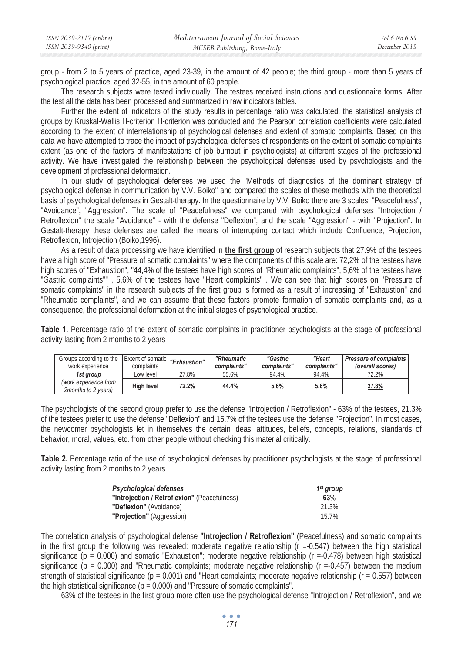group - from 2 to 5 years of practice, aged 23-39, in the amount of 42 people; the third group - more than 5 years of psychological practice, aged 32-55, in the amount of 60 people.

The research subjects were tested individually. The testees received instructions and questionnaire forms. After the test all the data has been processed and summarized in raw indicators tables.

Further the extent of indicators of the study results in percentage ratio was calculated, the statistical analysis of groups by Kruskal-Wallis H-criterion H-criterion was conducted and the Pearson correlation coefficients were calculated according to the extent of interrelationship of psychological defenses and extent of somatic complaints. Based on this data we have attempted to trace the impact of psychological defenses of respondents on the extent of somatic complaints extent (as one of the factors of manifestations of job burnout in psychologists) at different stages of the professional activity. We have investigated the relationship between the psychological defenses used by psychologists and the development of professional deformation.

In our study of psychological defenses we used the "Methods of diagnostics of the dominant strategy of psychological defense in communication by V.V. Boiko" and compared the scales of these methods with the theoretical basis of psychological defenses in Gestalt-therapy. In the questionnaire by V.V. Boiko there are 3 scales: "Peacefulness", "Avoidance", "Aggression". The scale of "Peacefulness" we compared with psychological defenses "Introjection / Retroflexion" the scale "Avoidance" - with the defense "Deflexion", and the scale "Aggression" - with "Projection". In Gestalt-therapy these defenses are called the means of interrupting contact which include Confluence, Projection, Retroflexion, Introjection (Boiko,1996).

As a result of data processing we have identified in **the first group** of research subjects that 27.9% of the testees have a high score of "Pressure of somatic complaints" where the components of this scale are: 72,2% of the testees have high scores of "Exhaustion", "44,4% of the testees have high scores of "Rheumatic complaints", 5,6% of the testees have "Gastric complaints"" , 5,6% of the testees have "Heart complaints" . We can see that high scores on "Pressure of somatic complaints" in the research subjects of the first group is formed as a result of increasing of "Exhaustion" and "Rheumatic complaints", and we can assume that these factors promote formation of somatic complaints and, as a consequence, the professional deformation at the initial stages of psychological practice.

**Table 1.** Percentage ratio of the extent of somatic complaints in practitioner psychologists at the stage of professional activity lasting from 2 months to 2 years

| Groups according to the<br>work experience   | wine lextent of somatic   "Exhaustion"  <br>complaints |       | "Rheumatic<br>complaints" | "Gastric<br>complaints" | "Heart<br>complaints" | Pressure of complaints<br>(overall scores) |
|----------------------------------------------|--------------------------------------------------------|-------|---------------------------|-------------------------|-----------------------|--------------------------------------------|
| 1st aroup                                    | Low level                                              | ?7.8% | 55.6%                     | 94.4%                   | 94.4%                 | 72.2%                                      |
| (work experience from<br>2months to 2 years) | <b>High level</b>                                      | 72.2% | 44.4%                     | 5.6%                    | 5.6%                  | 27.8%                                      |

The psychologists of the second group prefer to use the defense "Introjection / Retroflexion" - 63% of the testees, 21.3% of the testees prefer to use the defense "Deflexion" and 15.7% of the testees use the defense "Projection". In most cases, the newcomer psychologists let in themselves the certain ideas, attitudes, beliefs, concepts, relations, standards of behavior, moral, values, etc. from other people without checking this material critically.

**Table 2.** Percentage ratio of the use of psychological defenses by practitioner psychologists at the stage of professional activity lasting from 2 months to 2 years

| <b>Psychological defenses</b>                | $1st$ aroup |
|----------------------------------------------|-------------|
| <b>Theory / Retroflexion"</b> (Peacefulness) | 63%         |
| "Deflexion" (Avoidance)                      | 21.3%       |
| <b>"Projection"</b> (Aggression)             | 15.7%       |

The correlation analysis of psychological defense **"Introjection / Retroflexion"** (Peacefulness) and somatic complaints in the first group the following was revealed: moderate negative relationship  $(r = -0.547)$  between the high statistical significance ( $p = 0.000$ ) and somatic "Exhaustion"; moderate negative relationship ( $r = -0.478$ ) between high statistical significance ( $p = 0.000$ ) and "Rheumatic complaints; moderate negative relationship ( $r = -0.457$ ) between the medium strength of statistical significance ( $p = 0.001$ ) and "Heart complaints; moderate negative relationship ( $r = 0.557$ ) between the high statistical significance ( $p = 0.000$ ) and "Pressure of somatic complaints".

63% of the testees in the first group more often use the psychological defense "Introjection / Retroflexion", and we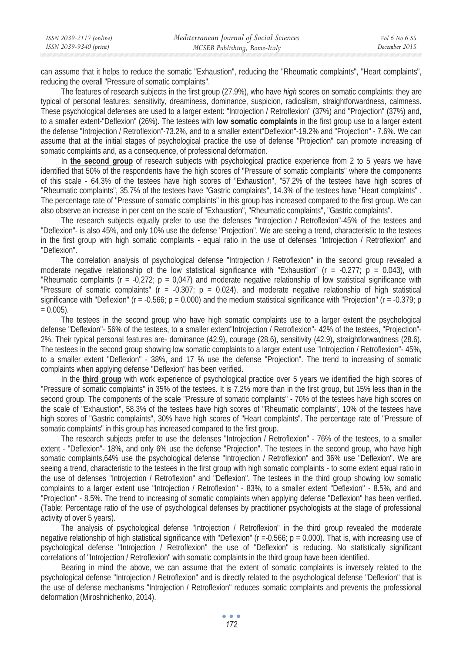| ISSN 2039-2117 (online) | Mediterranean Journal of Social Sciences | Vol 6 No 6 S5 |
|-------------------------|------------------------------------------|---------------|
| ISSN 2039-9340 (print)  | MCSER Publishing, Rome-Italy             | December 2015 |

can assume that it helps to reduce the somatic "Exhaustion", reducing the "Rheumatic complaints", "Heart complaints", reducing the overall "Pressure of somatic complaints".

The features of research subjects in the first group (27.9%), who have *high* scores on somatic complaints: they are typical of personal features: sensitivity, dreaminess, dominance, suspicion, radicalism, straightforwardness, calmness. These psychological defenses are used to a larger extent: "Introjection / Retroflexion" (37%) and "Projection" (37%) and, to a smaller extent-"Deflexion" (26%). The testees with **low somatic complaints** in the first group use to a larger extent the defense "Introjection / Retroflexion"-73.2%, and to a smaller extent"Deflexion"-19.2% and "Projection" - 7.6%. We can assume that at the initial stages of psychological practice the use of defense "Projection" can promote increasing of somatic complaints and, as a consequence, of professional deformation.

In **the second group** of research subjects with psychological practice experience from 2 to 5 years we have identified that 50% of the respondents have the high scores of "Pressure of somatic complaints" where the components of this scale - 64.3% of the testees have high scores of "Exhaustion", "57.2% of the testees have high scores of "Rheumatic complaints", 35.7% of the testees have "Gastric complaints", 14.3% of the testees have "Heart complaints" . The percentage rate of "Pressure of somatic complaints" in this group has increased compared to the first group. We can also observe an increase in per cent on the scale of "Exhaustion", "Rheumatic complaints", "Gastric complaints".

The research subjects equally prefer to use the defenses "Introjection / Retroflexion"-45% of the testees and "Deflexion"- is also 45%, and only 10% use the defense "Projection". We are seeing a trend, characteristic to the testees in the first group with high somatic complaints - equal ratio in the use of defenses "Introjection / Retroflexion" and "Deflexion".

The correlation analysis of psychological defense "Introjection / Retroflexion" in the second group revealed a moderate negative relationship of the low statistical significance with "Exhaustion" ( $r = -0.277$ ;  $p = 0.043$ ), with "Rheumatic complaints ( $r = -0.272$ ;  $p = 0.047$ ) and moderate negative relationship of low statistical significance with "Pressure of somatic complaints" ( $r = -0.307$ ;  $p = 0.024$ ), and moderate negative relationship of high statistical significance with "Deflexion" ( $r = -0.566$ ;  $p = 0.000$ ) and the medium statistical significance with "Projection" ( $r = -0.379$ ; p  $= 0.005$ ).

The testees in the second group who have high somatic complaints use to a larger extent the psychological defense "Deflexion"- 56% of the testees, to a smaller extent"Introjection / Retroflexion"- 42% of the testees, "Projection"- 2%. Their typical personal features are- dominance (42.9), courage (28.6), sensitivity (42.9), straightforwardness (28.6). The testees in the second group showing low somatic complaints to a larger extent use "Introjection / Retroflexion"- 45%, to a smaller extent "Deflexion" - 38%, and 17 % use the defense "Projection". The trend to increasing of somatic complaints when applying defense "Deflexion" has been verified.

In the **third group** with work experience of psychological practice over 5 years we identified the high scores of "Pressure of somatic complaints" in 35% of the testees. It is 7.2% more than in the first group, but 15% less than in the second group. The components of the scale "Pressure of somatic complaints" - 70% of the testees have high scores on the scale of "Exhaustion", 58.3% of the testees have high scores of "Rheumatic complaints", 10% of the testees have high scores of "Gastric complaints", 30% have high scores of "Heart complaints". The percentage rate of "Pressure of somatic complaints" in this group has increased compared to the first group.

The research subjects prefer to use the defenses "Introjection / Retroflexion" - 76% of the testees, to a smaller extent - "Deflexion"- 18%, and only 6% use the defense "Projection". The testees in the second group, who have high somatic complaints,64% use the psychological defense "Introjection / Retroflexion" and 36% use "Deflexion". We are seeing a trend, characteristic to the testees in the first group with high somatic complaints - to some extent equal ratio in the use of defenses "Introjection / Retroflexion" and "Deflexion". The testees in the third group showing low somatic complaints to a larger extent use "Introjection / Retroflexion" - 83%, to a smaller extent "Deflexion" - 8.5%, and and "Projection" - 8.5%. The trend to increasing of somatic complaints when applying defense "Deflexion" has been verified. (Table: Percentage ratio of the use of psychological defenses by practitioner psychologists at the stage of professional activity of over 5 years).

The analysis of psychological defense "Introjection / Retroflexion" in the third group revealed the moderate negative relationship of high statistical significance with "Deflexion" ( $r = -0.566$ ;  $p = 0.000$ ). That is, with increasing use of psychological defense "Introjection / Retroflexion" the use of "Deflexion" is reducing. No statistically significant correlations of "Introjection / Retroflexion" with somatic complaints in the third group have been identified.

Bearing in mind the above, we can assume that the extent of somatic complaints is inversely related to the psychological defense "Introjection / Retroflexion" and is directly related to the psychological defense "Deflexion" that is the use of defense mechanisms "Introjection / Retroflexion" reduces somatic complaints and prevents the professional deformation (Miroshnichenko, 2014).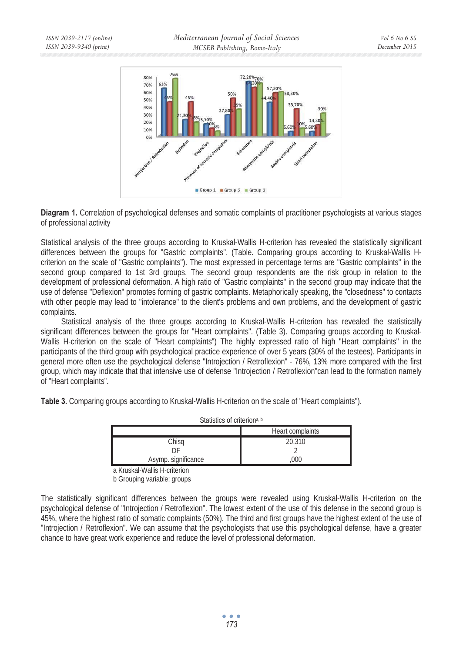

**Diagram 1.** Correlation of psychological defenses and somatic complaints of practitioner psychologists at various stages of professional activity

Statistical analysis of the three groups according to Kruskal-Wallis H-criterion has revealed the statistically significant differences between the groups for "Gastric complaints". (Table. Comparing groups according to Kruskal-Wallis Hcriterion on the scale of "Gastric complaints"). The most expressed in percentage terms are "Gastric complaints" in the second group compared to 1st 3rd groups. The second group respondents are the risk group in relation to the development of professional deformation. A high ratio of "Gastric complaints" in the second group may indicate that the use of defense "Deflexion" promotes forming of gastric complaints. Metaphorically speaking, the "closedness" to contacts with other people may lead to "intolerance" to the client's problems and own problems, and the development of gastric complaints.

Statistical analysis of the three groups according to Kruskal-Wallis H-criterion has revealed the statistically significant differences between the groups for "Heart complaints". (Table 3). Comparing groups according to Kruskal-Wallis H-criterion on the scale of "Heart complaints") The highly expressed ratio of high "Heart complaints" in the participants of the third group with psychological practice experience of over 5 years (30% of the testees). Participants in general more often use the psychological defense "Introjection / Retroflexion" - 76%, 13% more compared with the first group, which may indicate that that intensive use of defense "Introjection / Retroflexion"can lead to the formation namely of "Heart complaints".

**Table 3.** Comparing groups according to Kruskal-Wallis H-criterion on the scale of "Heart complaints").

| Statistics of criterion <sup>a, b</sup> |        |  |  |  |  |
|-----------------------------------------|--------|--|--|--|--|
| Heart complaints                        |        |  |  |  |  |
| Chisg                                   | 20,310 |  |  |  |  |
| DΕ                                      |        |  |  |  |  |
| Asymp. significance                     | J00    |  |  |  |  |
| $\cdot$ $\cdot$<br>. .                  |        |  |  |  |  |

 $\sim$  criterional criterional criterional criterion  $\sim$ 

a Kruskal-Wallis H-criterion b Grouping variable: groups

The statistically significant differences between the groups were revealed using Kruskal-Wallis H-criterion on the psychological defense of "Introjection / Retroflexion". The lowest extent of the use of this defense in the second group is 45%, where the highest ratio of somatic complaints (50%). The third and first groups have the highest extent of the use of "Introjection / Retroflexion". We can assume that the psychologists that use this psychological defense, have a greater chance to have great work experience and reduce the level of professional deformation.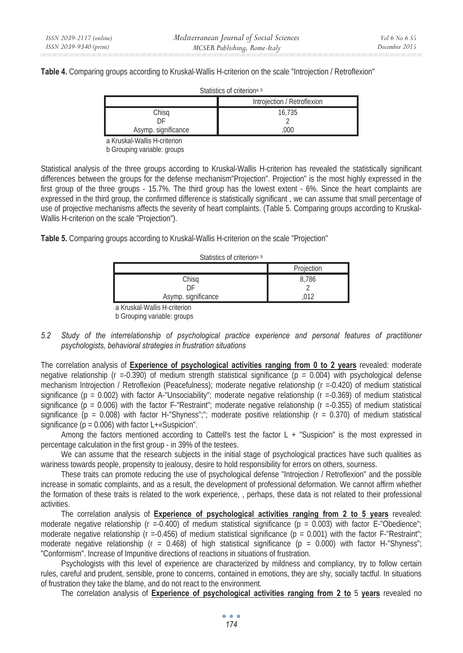**Table 4.** Comparing groups according to Kruskal-Wallis H-criterion on the scale "Introjection / Retroflexion"

| Statistics of criterion <sup>a, b</sup> |        |  |  |  |
|-----------------------------------------|--------|--|--|--|
| Introjection / Retroflexion             |        |  |  |  |
| Chisg                                   | 16.735 |  |  |  |
| Asymp. significance                     | 000    |  |  |  |

a Kruskal-Wallis H-criterion b Grouping variable: groups

Statistical analysis of the three groups according to Kruskal-Wallis H-criterion has revealed the statistically significant differences between the groups for the defense mechanism"Projection". Projection" is the most highly expressed in the first group of the three groups - 15.7%. The third group has the lowest extent - 6%. Since the heart complaints are expressed in the third group, the confirmed difference is statistically significant , we can assume that small percentage of use of projective mechanisms affects the severity of heart complaints. (Table 5. Comparing groups according to Kruskal-Wallis H-criterion on the scale "Projection").

**Table 5.** Comparing groups according to Kruskal-Wallis H-criterion on the scale "Projection"

| Statistics of criterion <sup>a, b</sup> |            |  |  |  |  |
|-----------------------------------------|------------|--|--|--|--|
|                                         | Projection |  |  |  |  |
| Chisg                                   | 8.786      |  |  |  |  |
| DE                                      |            |  |  |  |  |
| Asymp. significance                     |            |  |  |  |  |

a Kruskal-Wallis H-criterion b Grouping variable: groups

*5.2 Study of the interrelationship of psychological practice experience and personal features of practitioner psychologists, behavioral strategies in frustration situations* 

The correlation analysis of **Experience of psychological activities ranging from 0 to 2 years** revealed: moderate negative relationship ( $r = -0.390$ ) of medium strength statistical significance ( $p = 0.004$ ) with psychological defense mechanism Introjection / Retroflexion (Peacefulness); moderate negative relationship (r =-0.420) of medium statistical significance ( $p = 0.002$ ) with factor A-"Unsociability"; moderate negative relationship ( $r = -0.369$ ) of medium statistical significance ( $p = 0.006$ ) with the factor F-"Restraint"; moderate negative relationship ( $r = -0.355$ ) of medium statistical significance ( $p = 0.008$ ) with factor H-"Shyness";"; moderate positive relationship ( $r = 0.370$ ) of medium statistical significance ( $p = 0.006$ ) with factor  $L$ +«Suspicion".

Among the factors mentioned according to Cattell's test the factor L + "Suspicion" is the most expressed in percentage calculation in the first group - in 39% of the testees.

We can assume that the research subjects in the initial stage of psychological practices have such qualities as wariness towards people, propensity to jealousy, desire to hold responsibility for errors on others, sourness.

These traits can promote reducing the use of psychological defense "Introjection / Retroflexion" and the possible increase in somatic complaints, and as a result, the development of professional deformation. We cannot affirm whether the formation of these traits is related to the work experience, , perhaps, these data is not related to their professional activities.

The correlation analysis of **Experience of psychological activities ranging from 2 to 5 years** revealed: moderate negative relationship ( $r = 0.400$ ) of medium statistical significance ( $p = 0.003$ ) with factor E-"Obedience"; moderate negative relationship ( $r = -0.456$ ) of medium statistical significance ( $p = 0.001$ ) with the factor F-"Restraint"; moderate negative relationship ( $r = 0.468$ ) of high statistical significance ( $p = 0.000$ ) with factor H-"Shyness"; "Conformism". Increase of Impunitive directions of reactions in situations of frustration.

Psychologists with this level of experience are characterized by mildness and compliancy, try to follow certain rules, careful and prudent, sensible, prone to concerns, contained in emotions, they are shy, socially tactful. In situations of frustration they take the blame, and do not react to the environment.

The correlation analysis of **Experience of psychological activities ranging from 2 to** 5 **years** revealed no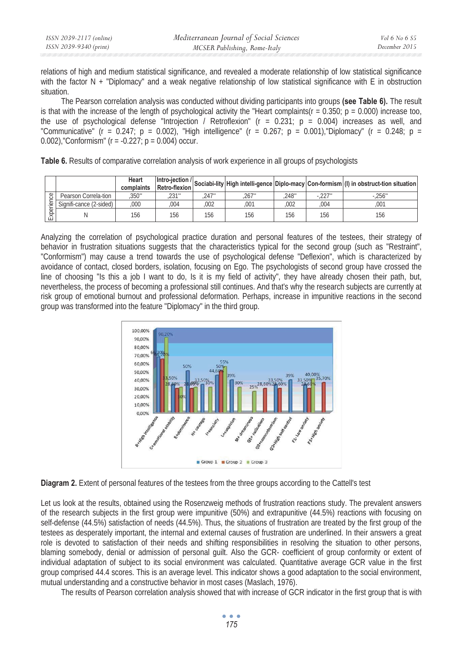| ISSN 2039-2117 (online) | Mediterranean Journal of Social Sciences | $Vol 6$ No $6S5$ |
|-------------------------|------------------------------------------|------------------|
| ISSN 2039-9340 (print)  | MCSER Publishing, Rome-Italy             | December 2015    |

relations of high and medium statistical significance, and revealed a moderate relationship of low statistical significance with the factor N + "Diplomacy" and a weak negative relationship of low statistical significance with E in obstruction situation.

The Pearson correlation analysis was conducted without dividing participants into groups **(see Table 6).** The result is that with the increase of the length of psychological activity the "Heart complaints( $r = 0.350$ ;  $p = 0.000$ ) increase too, the use of psychological defense "Introjection" / Retroflexion" ( $r = 0.231$ ;  $p = 0.004$ ) increases as well, and "Communicative" (r = 0.247; p = 0.002), "High intelligence" (r = 0.267; p = 0.001), "Diplomacy" (r = 0.248; p = 0.002),"Conformism" ( $r = -0.227$ ;  $p = 0.004$ ) occur.

| Table 6. Results of comparative correlation analysis of work experience in all groups of psychologists |  |  |  |
|--------------------------------------------------------------------------------------------------------|--|--|--|
|--------------------------------------------------------------------------------------------------------|--|--|--|

|         |                         | Heart<br>complaints | Retro-flexion       |                      |                      |                      |        | Intro-jection / Sociabi-lity High intelli-gence Diplo-macy Con-formism (I) in obstruct-tion situation! |
|---------|-------------------------|---------------------|---------------------|----------------------|----------------------|----------------------|--------|--------------------------------------------------------------------------------------------------------|
| $\circ$ | Pearson Correla-tion    | ,350"               | $.231$ <sup>"</sup> | $,247$ <sup>**</sup> | $.267$ <sup>**</sup> | $.248$ <sup>**</sup> | ົາງ⊐*′ | $-.256"$                                                                                               |
| ₾       | Signifi-cance (2-sided) | 000                 | 004                 | .002                 | .001                 | .002                 | 004    | .001                                                                                                   |
| ş       |                         | 156                 | 156                 | 156                  | 156                  | 156                  | 156    | 156                                                                                                    |

Analyzing the correlation of psychological practice duration and personal features of the testees, their strategy of behavior in frustration situations suggests that the characteristics typical for the second group (such as "Restraint", "Conformism") may cause a trend towards the use of psychological defense "Deflexion", which is characterized by avoidance of contact, closed borders, isolation, focusing on Ego. The psychologists of second group have crossed the line of choosing "Is this a job I want to do, Is it is my field of activity", they have already chosen their path, but, nevertheless, the process of becoming a professional still continues. And that's why the research subjects are currently at risk group of emotional burnout and professional deformation. Perhaps, increase in impunitive reactions in the second group was transformed into the feature "Diplomacy" in the third group.



**Diagram 2.** Extent of personal features of the testees from the three groups according to the Cattell's test

Let us look at the results, obtained using the Rosenzweig methods of frustration reactions study. The prevalent answers of the research subjects in the first group were impunitive (50%) and extrapunitive (44.5%) reactions with focusing on self-defense (44.5%) satisfaction of needs (44.5%). Thus, the situations of frustration are treated by the first group of the testees as desperately important, the internal and external causes of frustration are underlined. In their answers a great role is devoted to satisfaction of their needs and shifting responsibilities in resolving the situation to other persons, blaming somebody, denial or admission of personal guilt. Also the GCR- coefficient of group conformity or extent of individual adaptation of subject to its social environment was calculated. Quantitative average GCR value in the first group comprised 44.4 scores. This is an average level. This indicator shows a good adaptation to the social environment, mutual understanding and a constructive behavior in most cases (Maslach, 1976).

The results of Pearson correlation analysis showed that with increase of GCR indicator in the first group that is with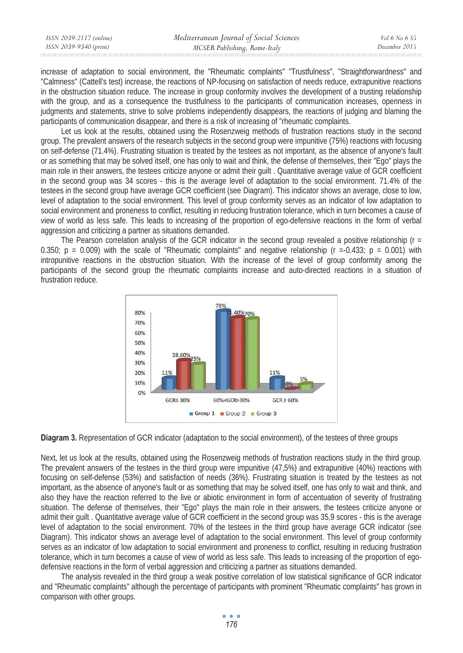| ISSN 2039-2117 (online) | Mediterranean Journal of Social Sciences | <i>Vol</i> 6 No 6 S5 |
|-------------------------|------------------------------------------|----------------------|
| ISSN 2039-9340 (print)  | MCSER Publishing, Rome-Italy             | December 2015        |

increase of adaptation to social environment, the "Rheumatic complaints" "Trustfulness", "Straightforwardness" and "Calmness" (Cattell's test) increase, the reactions of NP-focusing on satisfaction of needs reduce, extrapunitive reactions in the obstruction situation reduce. The increase in group conformity involves the development of a trusting relationship with the group, and as a consequence the trustfulness to the participants of communication increases, openness in judgments and statements, strive to solve problems independently disappears, the reactions of judging and blaming the participants of communication disappear, and there is a risk of increasing of "rheumatic complaints.

Let us look at the results, obtained using the Rosenzweig methods of frustration reactions study in the second group. The prevalent answers of the research subjects in the second group were impunitive (75%) reactions with focusing on self-defense (71.4%). Frustrating situation is treated by the testees as not important, as the absence of anyone's fault or as something that may be solved itself, one has only to wait and think, the defense of themselves, their "Ego" plays the main role in their answers, the testees criticize anyone or admit their guilt . Quantitative average value of GCR coefficient in the second group was 34 scores - this is the average level of adaptation to the social environment. 71.4% of the testees in the second group have average GCR coefficient (see Diagram). This indicator shows an average, close to low, level of adaptation to the social environment. This level of group conformity serves as an indicator of low adaptation to social environment and proneness to conflict, resulting in reducing frustration tolerance, which in turn becomes a cause of view of world as less safe. This leads to increasing of the proportion of ego-defensive reactions in the form of verbal aggression and criticizing a partner as situations demanded.

The Pearson correlation analysis of the GCR indicator in the second group revealed a positive relationship  $(r =$ 0.350;  $p = 0.009$ ) with the scale of "Rheumatic complaints" and negative relationship ( $r = -0.433$ ;  $p = 0.001$ ) with intropunitive reactions in the obstruction situation. With the increase of the level of group conformity among the participants of the second group the rheumatic complaints increase and auto-directed reactions in a situation of frustration reduce.



**Diagram 3.** Representation of GCR indicator (adaptation to the social environment), of the testees of three groups

Next, let us look at the results, obtained using the Rosenzweig methods of frustration reactions study in the third group. The prevalent answers of the testees in the third group were impunitive (47,5%) and extrapunitive (40%) reactions with focusing on self-defense (53%) and satisfaction of needs (36%). Frustrating situation is treated by the testees as not important, as the absence of anyone's fault or as something that may be solved itself, one has only to wait and think, and also they have the reaction referred to the live or abiotic environment in form of accentuation of severity of frustrating situation. The defense of themselves, their "Ego" plays the main role in their answers, the testees criticize anyone or admit their guilt . Quantitative average value of GCR coefficient in the second group was 35,9 scores - this is the average level of adaptation to the social environment. 70% of the testees in the third group have average GCR indicator (see Diagram). This indicator shows an average level of adaptation to the social environment. This level of group conformity serves as an indicator of low adaptation to social environment and proneness to conflict, resulting in reducing frustration tolerance, which in turn becomes a cause of view of world as less safe. This leads to increasing of the proportion of egodefensive reactions in the form of verbal aggression and criticizing a partner as situations demanded.

The analysis revealed in the third group a weak positive correlation of low statistical significance of GCR indicator and "Rheumatic complaints" although the percentage of participants with prominent "Rheumatic complaints" has grown in comparison with other groups.